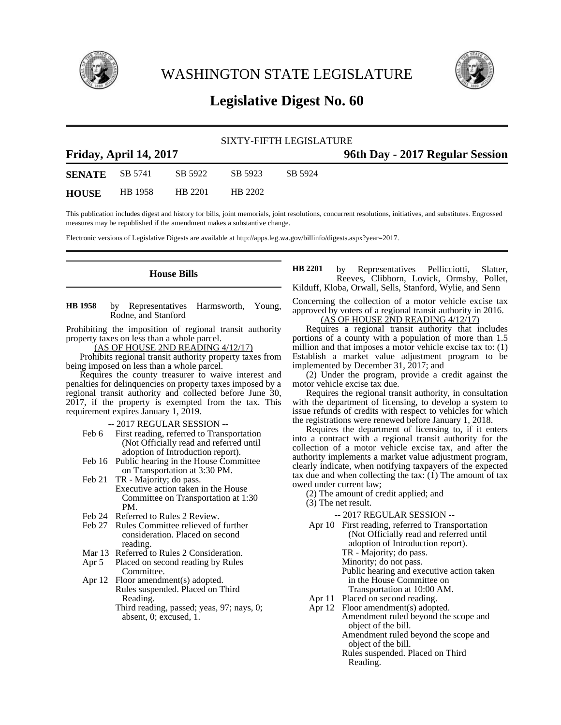

WASHINGTON STATE LEGISLATURE



# **Legislative Digest No. 60**

# SIXTY-FIFTH LEGISLATURE

| Friday, April 14, 2017 |         |         |         |         | 96th Day - 2017 Regular Session |
|------------------------|---------|---------|---------|---------|---------------------------------|
| <b>SENATE</b>          | SB 5741 | SB 5922 | SB 5923 | SB 5924 |                                 |
| <b>HOUSE</b>           | HB 1958 | HB 2201 | HB 2202 |         |                                 |

This publication includes digest and history for bills, joint memorials, joint resolutions, concurrent resolutions, initiatives, and substitutes. Engrossed measures may be republished if the amendment makes a substantive change.

Electronic versions of Legislative Digests are available at http://apps.leg.wa.gov/billinfo/digests.aspx?year=2017.

# **House Bills**

by Representatives Harmsworth, Young, Rodne, and Stanford **HB 1958**

Prohibiting the imposition of regional transit authority property taxes on less than a whole parcel.

(AS OF HOUSE 2ND READING 4/12/17)

Prohibits regional transit authority property taxes from being imposed on less than a whole parcel.

Requires the county treasurer to waive interest and penalties for delinquencies on property taxes imposed by a regional transit authority and collected before June 30, 2017, if the property is exempted from the tax. This requirement expires January 1, 2019.

-- 2017 REGULAR SESSION --

- Feb 6 First reading, referred to Transportation (Not Officially read and referred until adoption of Introduction report).
- Feb 16 Public hearing in the House Committee on Transportation at 3:30 PM.
- Feb 21 TR Majority; do pass. Executive action taken in the House Committee on Transportation at 1:30 PM.
- Feb 24 Referred to Rules 2 Review.
- Feb 27 Rules Committee relieved of further consideration. Placed on second reading.
- Mar 13 Referred to Rules 2 Consideration.
- Apr 5 Placed on second reading by Rules Committee.
- Apr 12 Floor amendment(s) adopted. Rules suspended. Placed on Third Reading.

Third reading, passed; yeas, 97; nays, 0; absent, 0; excused, 1.

by Representatives Pellicciotti, Slatter, Reeves, Clibborn, Lovick, Ormsby, Pollet, Kilduff, Kloba, Orwall, Sells, Stanford, Wylie, and Senn **HB 2201**

Concerning the collection of a motor vehicle excise tax approved by voters of a regional transit authority in 2016. (AS OF HOUSE 2ND READING 4/12/17)

Requires a regional transit authority that includes portions of a county with a population of more than 1.5 million and that imposes a motor vehicle excise tax to: (1) Establish a market value adjustment program to be implemented by December 31, 2017; and

(2) Under the program, provide a credit against the motor vehicle excise tax due.

Requires the regional transit authority, in consultation with the department of licensing, to develop a system to issue refunds of credits with respect to vehicles for which the registrations were renewed before January 1, 2018.

Requires the department of licensing to, if it enters into a contract with a regional transit authority for the collection of a motor vehicle excise tax, and after the authority implements a market value adjustment program, clearly indicate, when notifying taxpayers of the expected tax due and when collecting the tax: (1) The amount of tax owed under current law;

(2) The amount of credit applied; and

(3) The net result.

-- 2017 REGULAR SESSION --

- Apr 10 First reading, referred to Transportation (Not Officially read and referred until adoption of Introduction report). TR - Majority; do pass. Minority; do not pass. Public hearing and executive action taken in the House Committee on Transportation at 10:00 AM.
- Apr 11 Placed on second reading. Apr 12 Floor amendment(s) adopted.
	- Amendment ruled beyond the scope and object of the bill. Amendment ruled beyond the scope and

object of the bill.

Rules suspended. Placed on Third Reading.